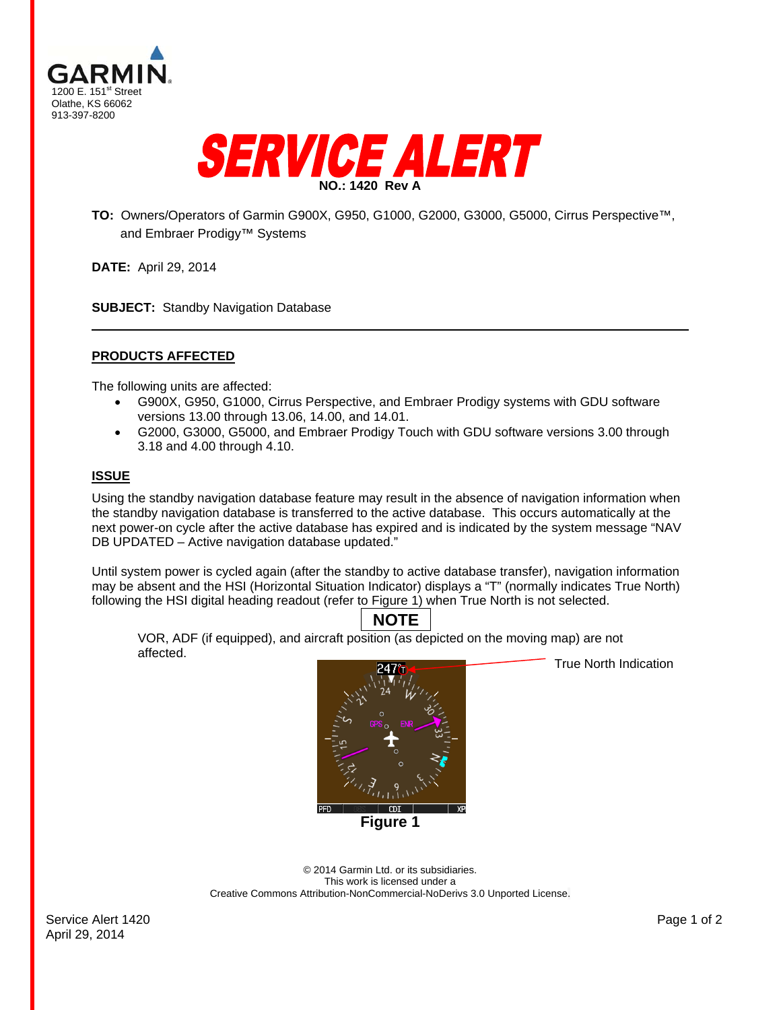



**TO:** Owners/Operators of Garmin G900X, G950, G1000, G2000, G3000, G5000, Cirrus Perspective™, and Embraer Prodigy™ Systems

**DATE:** April 29, 2014

**SUBJECT:** Standby Navigation Database

### **PRODUCTS AFFECTED**

The following units are affected:

- G900X, G950, G1000, Cirrus Perspective, and Embraer Prodigy systems with GDU software versions 13.00 through 13.06, 14.00, and 14.01.
- G2000, G3000, G5000, and Embraer Prodigy Touch with GDU software versions 3.00 through 3.18 and 4.00 through 4.10.

#### **ISSUE**

Using the standby navigation database feature may result in the absence of navigation information when the standby navigation database is transferred to the active database. This occurs automatically at the next power-on cycle after the active database has expired and is indicated by the system message "NAV DB UPDATED – Active navigation database updated."

Until system power is cycled again (after the standby to active database transfer), navigation information may be absent and the HSI (Horizontal Situation Indicator) displays a "T" (normally indicates True North) following the HSI digital heading readout (refer to Figure 1) when True North is not selected.

# **NOTE**

VOR, ADF (if equipped), and aircraft position (as depicted on the moving map) are not affected.



**Figure 1** 

True North Indication

© 2014 Garmin Ltd. or its subsidiaries. This work is licensed under a Creative Commons Attribution-NonCommercial-NoDerivs 3.0 Unported License.